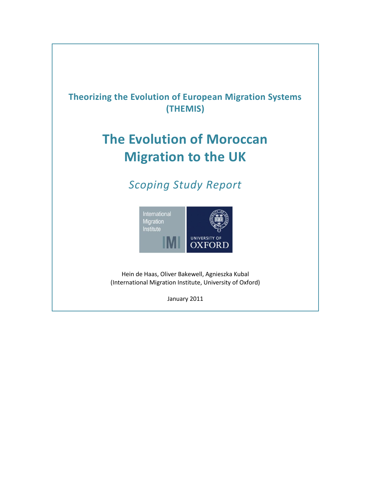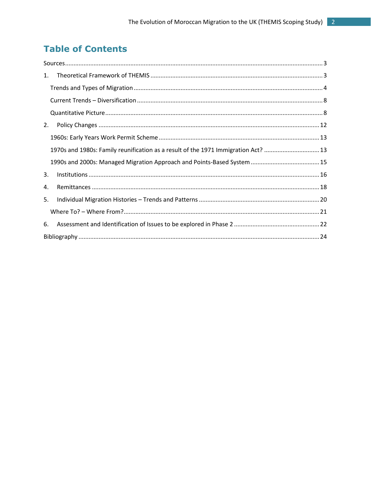# **Table of Contents**

| 1. |                                                                                   |  |  |  |  |  |  |
|----|-----------------------------------------------------------------------------------|--|--|--|--|--|--|
|    |                                                                                   |  |  |  |  |  |  |
|    |                                                                                   |  |  |  |  |  |  |
|    |                                                                                   |  |  |  |  |  |  |
| 2. |                                                                                   |  |  |  |  |  |  |
|    |                                                                                   |  |  |  |  |  |  |
|    | 1970s and 1980s: Family reunification as a result of the 1971 Immigration Act? 13 |  |  |  |  |  |  |
|    |                                                                                   |  |  |  |  |  |  |
| 3. |                                                                                   |  |  |  |  |  |  |
| 4. |                                                                                   |  |  |  |  |  |  |
| 5. |                                                                                   |  |  |  |  |  |  |
|    |                                                                                   |  |  |  |  |  |  |
| 6. |                                                                                   |  |  |  |  |  |  |
|    |                                                                                   |  |  |  |  |  |  |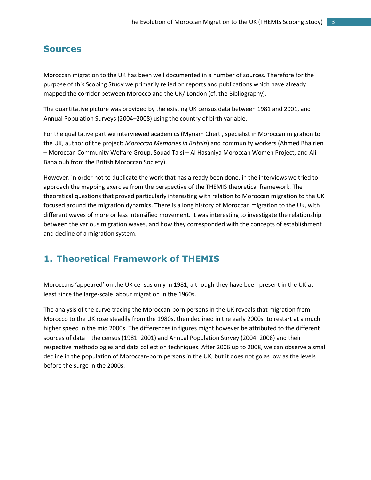#### <span id="page-2-0"></span>**Sources**

Moroccan migration to the UK has been well documented in a number of sources. Therefore for the purpose of this Scoping Study we primarily relied on reports and publications which have already mapped the corridor between Morocco and the UK/ London (cf. the Bibliography).

The quantitative picture was provided by the existing UK census data between 1981 and 2001, and Annual Population Surveys (2004–2008) using the country of birth variable.

For the qualitative part we interviewed academics (Myriam Cherti, specialist in Moroccan migration to the UK, author of the project: *Moroccan Memories in Britain*) and community workers (Ahmed Bhairien – Moroccan Community Welfare Group, Souad Talsi – Al Hasaniya Moroccan Women Project, and Ali Bahajoub from the British Moroccan Society).

However, in order not to duplicate the work that has already been done, in the interviews we tried to approach the mapping exercise from the perspective of the THEMIS theoretical framework. The theoretical questions that proved particularly interesting with relation to Moroccan migration to the UK focused around the migration dynamics. There is a long history of Moroccan migration to the UK, with different waves of more or less intensified movement. It was interesting to investigate the relationship between the various migration waves, and how they corresponded with the concepts of establishment and decline of a migration system.

## <span id="page-2-1"></span>**1. Theoretical Framework of THEMIS**

Moroccans 'appeared' on the UK census only in 1981, although they have been present in the UK at least since the large-scale labour migration in the 1960s.

The analysis of the curve tracing the Moroccan-born persons in the UK reveals that migration from Morocco to the UK rose steadily from the 1980s, then declined in the early 2000s, to restart at a much higher speed in the mid 2000s. The differences in figures might however be attributed to the different sources of data – the census (1981–2001) and Annual Population Survey (2004–2008) and their respective methodologies and data collection techniques. After 2006 up to 2008, we can observe a small decline in the population of Moroccan-born persons in the UK, but it does not go as low as the levels before the surge in the 2000s.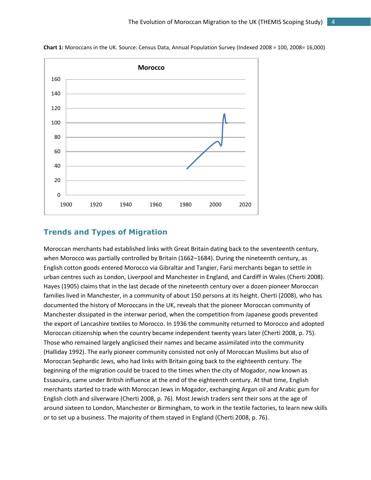

**Chart 1:** Moroccans in the UK. Source: Census Data, Annual Population Survey (Indexed 2008 = 100, 2008= 16,000)

#### <span id="page-3-0"></span>**Trends and Types of Migration**

Moroccan merchants had established links with Great Britain dating back to the seventeenth century, when Morocco was partially controlled by Britain (1662–1684). During the nineteenth century, as English cotton goods entered Morocco via Gibraltar and Tangier, Farsi merchants began to settle in urban centres such as London, Liverpool and Manchester in England, and Cardiff in Wales (Cherti 2008). Hayes (1905) claims that in the last decade of the nineteenth century over a dozen pioneer Moroccan families lived in Manchester, in a community of about 150 persons at its height. Cherti (2008), who has documented the history of Moroccans in the UK, reveals that the pioneer Moroccan community of Manchester dissipated in the interwar period, when the competition from Japanese goods prevented the export of Lancashire textiles to Morocco. In 1936 the community returned to Morocco and adopted Moroccan citizenship when the country became independent twenty years later (Cherti 2008, p. 75). Those who remained largely anglicised their names and became assimilated into the community (Halliday 1992). The early pioneer community consisted not only of Moroccan Muslims but also of Moroccan Sephardic Jews, who had links with Britain going back to the eighteenth century. The beginning of the migration could be traced to the times when the city of Mogador, now known as Essaouira, came under British influence at the end of the eighteenth century. At that time, English merchants started to trade with Moroccan Jews in Mogador, exchanging Argan oil and Arabic gum for English cloth and silverware (Cherti 2008, p. 76). Most Jewish traders sent their sons at the age of around sixteen to London, Manchester or Birmingham, to work in the textile factories, to learn new skills or to set up a business. The majority of them stayed in England (Cherti 2008, p. 76).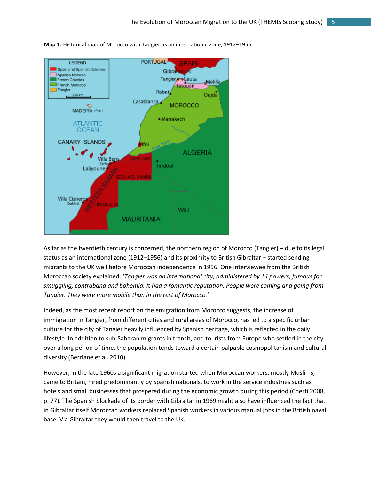

**Map 1:** Historical map of Morocco with Tangier as an international zone, 1912–1956.

As far as the twentieth century is concerned, the northern region of Morocco (Tangier) – due to its legal status as an international zone (1912–1956) and its proximity to British Gibraltar – started sending migrants to the UK well before Moroccan independence in 1956. One interviewee from the British Moroccan society explained: '*Tangier was an international city, administered by 14 powers, famous for smuggling, contraband and bohemia. It had a romantic reputation. People were coming and going from Tangier. They were more mobile than in the rest of Morocco.'* 

Indeed, as the most recent report on the emigration from Morocco suggests, the increase of immigration in Tangier, from different cities and rural areas of Morocco, has led to a specific urban culture for the city of Tangier heavily influenced by Spanish heritage, which is reflected in the daily lifestyle. In addition to sub-Saharan migrants in transit, and tourists from Europe who settled in the city over a long period of time, the population tends toward a certain palpable cosmopolitanism and cultural diversity (Berriane et al. 2010).

However, in the late 1960s a significant migration started when Moroccan workers, mostly Muslims, came to Britain, hired predominantly by Spanish nationals, to work in the service industries such as hotels and small businesses that prospered during the economic growth during this period (Cherti 2008, p. 77). The Spanish blockade of its border with Gibraltar in 1969 might also have influenced the fact that in Gibraltar itself Moroccan workers replaced Spanish workers in various manual jobs in the British naval base. Via Gibraltar they would then travel to the UK.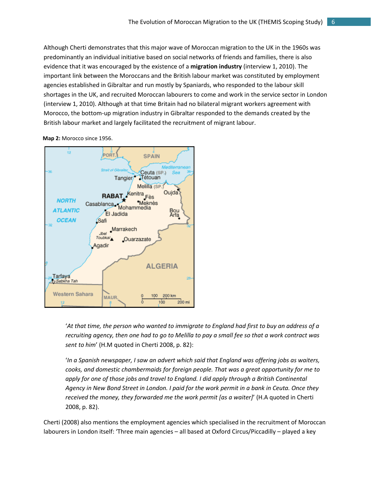Although Cherti demonstrates that this major wave of Moroccan migration to the UK in the 1960s was predominantly an individual initiative based on social networks of friends and families, there is also evidence that it was encouraged by the existence of a **migration industry** (interview 1, 2010). The important link between the Moroccans and the British labour market was constituted by employment agencies established in Gibraltar and run mostly by Spaniards, who responded to the labour skill shortages in the UK, and recruited Moroccan labourers to come and work in the service sector in London (interview 1, 2010). Although at that time Britain had no bilateral migrant workers agreement with Morocco, the bottom-up migration industry in Gibraltar responded to the demands created by the British labour market and largely facilitated the recruitment of migrant labour.

Mediterranear

**Sea** 

Oujda

Bou<br>Arfa

**ALGERIA** 

100

200 km

100

δ



Jbel Toubkal<sub>A</sub>

Agadir

MAUR.

Marrakech

Ouarzazate



Tarfaya

Sebkha Tah

Western Sahara

'*At that time, the person who wanted to immigrate to England had first to buy an address of a recruiting agency, then one had to go to Melilla to pay a small fee so that a work contract was sent to him*' (H.M quoted in Cherti 2008, p. 82):

28

200 mi

'*In a Spanish newspaper, I saw an advert which said that England was offering jobs as waiters, cooks, and domestic chambermaids for foreign people. That was a great opportunity for me to apply for one of those jobs and travel to England. I did apply through a British Continental Agency in New Bond Street in London. I paid for the work permit in a bank in Ceuta. Once they received the money, they forwarded me the work permit [as a waiter]*' (H.A quoted in Cherti 2008, p. 82).

Cherti (2008) also mentions the employment agencies which specialised in the recruitment of Moroccan labourers in London itself: 'Three main agencies – all based at Oxford Circus/Piccadilly – played a key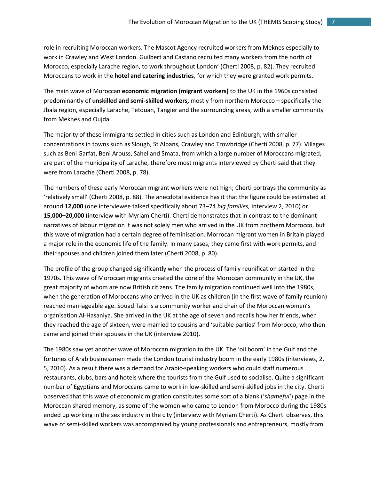role in recruiting Moroccan workers. The Mascot Agency recruited workers from Meknes especially to work in Crawley and West London. Guilbert and Castano recruited many workers from the north of Morocco, especially Larache region, to work throughout London' (Cherti 2008, p. 82). They recruited Moroccans to work in the **hotel and catering industries**, for which they were granted work permits.

The main wave of Moroccan **economic migration (migrant workers)** to the UK in the 1960s consisted predominantly of **unskilled and semi-skilled workers,** mostly from northern Morocco – specifically the Jbala region, especially Larache, Tetouan, Tangier and the surrounding areas, with a smaller community from Meknes and Oujda.

The majority of these immigrants settled in cities such as London and Edinburgh, with smaller concentrations in towns such as Slough, St Albans, Crawley and Trowbridge (Cherti 2008, p. 77). Villages such as Beni Garfat, Beni Arouss, Sahel and Smata, from which a large number of Moroccans migrated, are part of the municipality of Larache, therefore most migrants interviewed by Cherti said that they were from Larache (Cherti 2008, p. 78).

The numbers of these early Moroccan migrant workers were not high; Cherti portrays the community as 'relatively small' (Cherti 2008, p. 88). The anecdotal evidence has it that the figure could be estimated at around **12,000** (one interviewee talked specifically about 73–74 *big families,* interview 2, 2010) or **15,000–20,000** (interview with Myriam Cherti). Cherti demonstrates that in contrast to the dominant narratives of labour migration it was not solely men who arrived in the UK from northern Morrocco, but this wave of migration had a certain degree of feminisation. Morrocan migrant women in Britain played a major role in the economic life of the family. In many cases, they came first with work permits, and their spouses and children joined them later (Cherti 2008, p. 80).

The profile of the group changed significantly when the process of family reunification started in the 1970s. This wave of Moroccan migrants created the core of the Moroccan community in the UK, the great majority of whom are now British citizens. The family migration continued well into the 1980s, when the generation of Moroccans who arrived in the UK as children (in the first wave of family reunion) reached marriageable age. Souad Talsi is a community worker and chair of the Moroccan women's organisation Al-Hasaniya. She arrived in the UK at the age of seven and recalls how her friends, when they reached the age of sixteen, were married to cousins and 'suitable parties' from Morocco, who then came and joined their spouses in the UK (interview 2010).

The 1980s saw yet another wave of Moroccan migration to the UK. The 'oil boom' in the Gulf and the fortunes of Arab businessmen made the London tourist industry boom in the early 1980s (interviews, 2, 5, 2010). As a result there was a demand for Arabic-speaking workers who could staff numerous restaurants, clubs, bars and hotels where the tourists from the Gulf used to socialise. Quite a significant number of Egyptians and Moroccans came to work in low-skilled and semi-skilled jobs in the city. Cherti observed that this wave of economic migration constitutes some sort of a blank ('*shameful'*) page in the Moroccan shared memory, as some of the women who came to London from Morocco during the 1980s ended up working in the sex industry in the city (interview with Myriam Cherti). As Cherti observes, this wave of semi-skilled workers was accompanied by young professionals and entrepreneurs, mostly from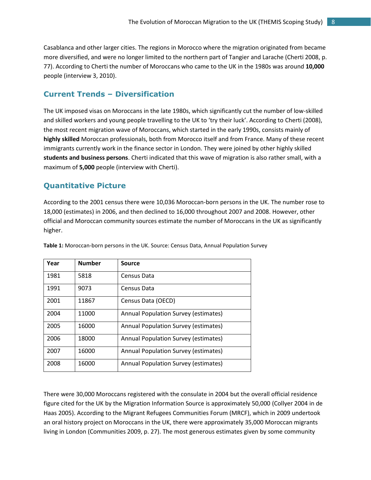Casablanca and other larger cities. The regions in Morocco where the migration originated from became more diversified, and were no longer limited to the northern part of Tangier and Larache (Cherti 2008, p. 77). According to Cherti the number of Moroccans who came to the UK in the 1980s was around **10,000** people (interview 3, 2010).

#### <span id="page-7-0"></span>**Current Trends – Diversification**

The UK imposed visas on Moroccans in the late 1980s, which significantly cut the number of low-skilled and skilled workers and young people travelling to the UK to 'try their luck'. According to Cherti (2008), the most recent migration wave of Moroccans, which started in the early 1990s, consists mainly of **highly skilled** Moroccan professionals, both from Morocco itself and from France. Many of these recent immigrants currently work in the finance sector in London. They were joined by other highly skilled **students and business persons**. Cherti indicated that this wave of migration is also rather small, with a maximum of **5,000** people (interview with Cherti).

## <span id="page-7-1"></span>**Quantitative Picture**

According to the 2001 census there were 10,036 Moroccan-born persons in the UK. The number rose to 18,000 (estimates) in 2006, and then declined to 16,000 throughout 2007 and 2008. However, other official and Moroccan community sources estimate the number of Moroccans in the UK as significantly higher.

| Year | <b>Number</b> | <b>Source</b>                               |
|------|---------------|---------------------------------------------|
| 1981 | 5818          | Census Data                                 |
| 1991 | 9073          | Census Data                                 |
| 2001 | 11867         | Census Data (OECD)                          |
| 2004 | 11000         | <b>Annual Population Survey (estimates)</b> |
| 2005 | 16000         | <b>Annual Population Survey (estimates)</b> |
| 2006 | 18000         | Annual Population Survey (estimates)        |
| 2007 | 16000         | Annual Population Survey (estimates)        |
| 2008 | 16000         | Annual Population Survey (estimates)        |

**Table 1:** Moroccan-born persons in the UK. Source: Census Data, Annual Population Survey

There were 30,000 Moroccans registered with the consulate in 2004 but the overall official residence figure cited for the UK by the Migration Information Source is approximately 50,000 (Collyer 2004 in de Haas 2005). According to the Migrant Refugees Communities Forum (MRCF), which in 2009 undertook an oral history project on Moroccans in the UK, there were approximately 35,000 Moroccan migrants living in London (Communities 2009, p. 27). The most generous estimates given by some community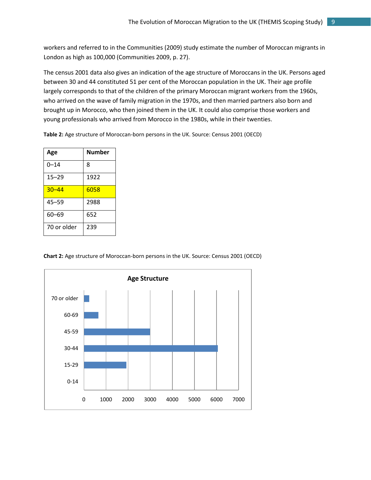workers and referred to in the Communities (2009) study estimate the number of Moroccan migrants in London as high as 100,000 (Communities 2009, p. 27).

The census 2001 data also gives an indication of the age structure of Moroccans in the UK. Persons aged between 30 and 44 constituted 51 per cent of the Moroccan population in the UK. Their age profile largely corresponds to that of the children of the primary Moroccan migrant workers from the 1960s, who arrived on the wave of family migration in the 1970s, and then married partners also born and brought up in Morocco, who then joined them in the UK. It could also comprise those workers and young professionals who arrived from Morocco in the 1980s, while in their twenties.

**Table 2:** Age structure of Moroccan-born persons in the UK. Source: Census 2001 (OECD)

| Age         | Number |
|-------------|--------|
| $0 - 14$    | 8      |
| $15 - 29$   | 1922   |
| $30 - 44$   | 6058   |
| 45–59       | 2988   |
| $60 - 69$   | 652    |
| 70 or older | 239    |

**Chart 2:** Age structure of Moroccan-born persons in the UK. Source: Census 2001 (OECD)

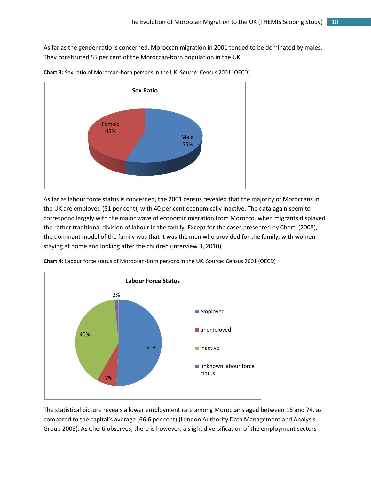As far as the gender ratio is concerned, Moroccan migration in 2001 tended to be dominated by males. They constituted 55 per cent of the Moroccan-born population in the UK.



**Chart 3:** Sex ratio of Moroccan-born persons in the UK. Source: Census 2001 (OECD)

As far as labour force status is concerned, the 2001 census revealed that the majority of Moroccans in the UK are employed (51 per cent), with 40 per cent economically inactive. The data again seem to correspond largely with the major wave of economic migration from Morocco, when migrants displayed the rather traditional division of labour in the family. Except for the cases presented by Cherti (2008), the dominant model of the family was that it was the men who provided for the family, with women staying at home and looking after the children (interview 3, 2010).



**Chart 4:** Labour force status of Moroccan-born persons in the UK. Source: Census 2001 (OECD)

The statistical picture reveals a lower employment rate among Moroccans aged between 16 and 74, as compared to the capital's average (66.6 per cent) (London Authority Data Management and Analysis Group 2005). As Cherti observes, there is however, a slight diversification of the employment sectors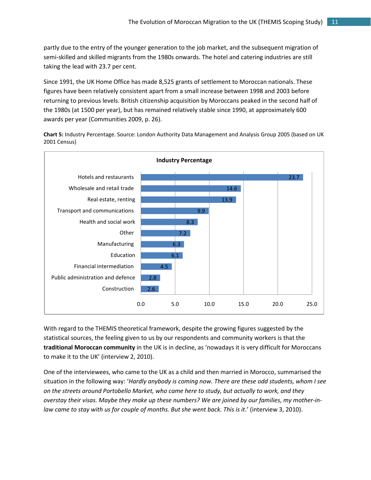partly due to the entry of the younger generation to the job market, and the subsequent migration of semi-skilled and skilled migrants from the 1980s onwards. The hotel and catering industries are still taking the lead with 23.7 per cent.

Since 1991, the UK Home Office has made 8,525 grants of settlement to Moroccan nationals. These figures have been relatively consistent apart from a small increase between 1998 and 2003 before returning to previous levels. British citizenship acquisition by Moroccans peaked in the second half of the 1980s (at 1500 per year), but has remained relatively stable since 1990, at approximately 600 awards per year (Communities 2009, p. 26).

**Chart 5:** Industry Percentage. Source: London Authority Data Management and Analysis Group 2005 (based on UK 2001 Census)



With regard to the THEMIS theoretical framework, despite the growing figures suggested by the statistical sources, the feeling given to us by our respondents and community workers is that the **traditional Moroccan community** in the UK is in decline, as 'nowadays it is very difficult for Moroccans to make it to the UK' (interview 2, 2010).

One of the interviewees, who came to the UK as a child and then married in Morocco, summarised the situation in the following way: '*Hardly anybody is coming now. There are these odd students, whom I see on the streets around Portobello Market, who came here to study, but actually to work, and they overstay their visas. Maybe they make up these numbers? We are joined by our families, my mother-in*law came to stay with us for couple of months. But she went back. This is it.' (interview 3, 2010).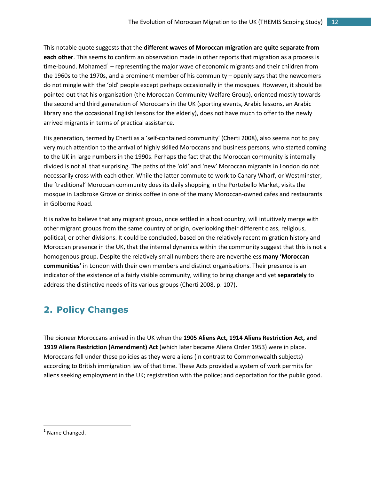This notable quote suggests that the **different waves of Moroccan migration are quite separate from each other**. This seems to confirm an observation made in other reports that migration as a process is time-bound. Mohamed $^1$  – representing the major wave of economic migrants and their children from the 1960s to the 1970s, and a prominent member of his community – openly says that the newcomers do not mingle with the 'old' people except perhaps occasionally in the mosques. However, it should be pointed out that his organisation (the Moroccan Community Welfare Group), oriented mostly towards the second and third generation of Moroccans in the UK (sporting events, Arabic lessons, an Arabic library and the occasional English lessons for the elderly), does not have much to offer to the newly arrived migrants in terms of practical assistance.

His generation, termed by Cherti as a 'self-contained community' (Cherti 2008), also seems not to pay very much attention to the arrival of highly skilled Moroccans and business persons, who started coming to the UK in large numbers in the 1990s. Perhaps the fact that the Moroccan community is internally divided is not all that surprising. The paths of the 'old' and 'new' Moroccan migrants in London do not necessarily cross with each other. While the latter commute to work to Canary Wharf, or Westminster, the 'traditional' Moroccan community does its daily shopping in the Portobello Market, visits the mosque in Ladbroke Grove or drinks coffee in one of the many Moroccan-owned cafes and restaurants in Golborne Road.

It is naïve to believe that any migrant group, once settled in a host country, will intuitively merge with other migrant groups from the same country of origin, overlooking their different class, religious, political, or other divisions. It could be concluded, based on the relatively recent migration history and Moroccan presence in the UK, that the internal dynamics within the community suggest that this is not a homogenous group. Despite the relatively small numbers there are nevertheless **many 'Moroccan communities'** in London with their own members and distinct organisations. Their presence is an indicator of the existence of a fairly visible community, willing to bring change and yet **separately** to address the distinctive needs of its various groups (Cherti 2008, p. 107).

# <span id="page-11-0"></span>**2. Policy Changes**

The pioneer Moroccans arrived in the UK when the **1905 Aliens Act, 1914 Aliens Restriction Act, and 1919 Aliens Restriction (Amendment) Act** (which later became Aliens Order 1953) were in place. Moroccans fell under these policies as they were aliens (in contrast to Commonwealth subjects) according to British immigration law of that time. These Acts provided a system of work permits for aliens seeking employment in the UK; registration with the police; and deportation for the public good.

 $\overline{\phantom{a}}$ 

<sup>&</sup>lt;sup>1</sup> Name Changed.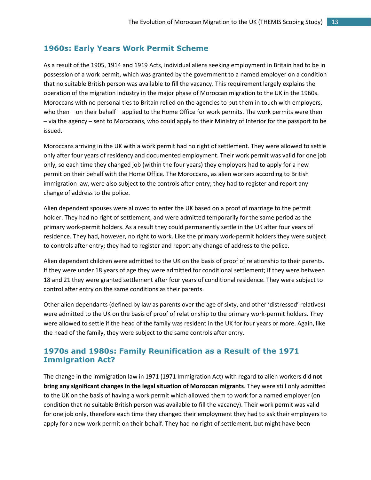#### <span id="page-12-0"></span>**1960s: Early Years Work Permit Scheme**

As a result of the 1905, 1914 and 1919 Acts, individual aliens seeking employment in Britain had to be in possession of a work permit, which was granted by the government to a named employer on a condition that no suitable British person was available to fill the vacancy. This requirement largely explains the operation of the migration industry in the major phase of Moroccan migration to the UK in the 1960s. Moroccans with no personal ties to Britain relied on the agencies to put them in touch with employers, who then – on their behalf – applied to the Home Office for work permits. The work permits were then – via the agency – sent to Moroccans, who could apply to their Ministry of Interior for the passport to be issued.

Moroccans arriving in the UK with a work permit had no right of settlement. They were allowed to settle only after four years of residency and documented employment. Their work permit was valid for one job only, so each time they changed job (within the four years) they employers had to apply for a new permit on their behalf with the Home Office. The Moroccans, as alien workers according to British immigration law, were also subject to the controls after entry; they had to register and report any change of address to the police.

Alien dependent spouses were allowed to enter the UK based on a proof of marriage to the permit holder. They had no right of settlement, and were admitted temporarily for the same period as the primary work-permit holders. As a result they could permanently settle in the UK after four years of residence. They had, however, no right to work. Like the primary work-permit holders they were subject to controls after entry; they had to register and report any change of address to the police.

Alien dependent children were admitted to the UK on the basis of proof of relationship to their parents. If they were under 18 years of age they were admitted for conditional settlement; if they were between 18 and 21 they were granted settlement after four years of conditional residence. They were subject to control after entry on the same conditions as their parents.

Other alien dependants (defined by law as parents over the age of sixty, and other 'distressed' relatives) were admitted to the UK on the basis of proof of relationship to the primary work-permit holders. They were allowed to settle if the head of the family was resident in the UK for four years or more. Again, like the head of the family, they were subject to the same controls after entry.

#### <span id="page-12-1"></span>**1970s and 1980s: Family Reunification as a Result of the 1971 Immigration Act?**

The change in the immigration law in 1971 (1971 Immigration Act) with regard to alien workers did **not bring any significant changes in the legal situation of Moroccan migrants**. They were still only admitted to the UK on the basis of having a work permit which allowed them to work for a named employer (on condition that no suitable British person was available to fill the vacancy). Their work permit was valid for one job only, therefore each time they changed their employment they had to ask their employers to apply for a new work permit on their behalf. They had no right of settlement, but might have been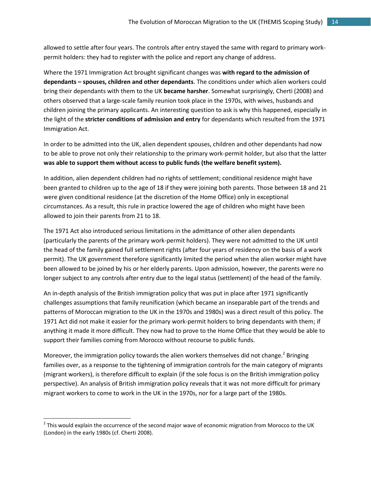allowed to settle after four years. The controls after entry stayed the same with regard to primary workpermit holders: they had to register with the police and report any change of address.

Where the 1971 Immigration Act brought significant changes was **with regard to the admission of dependants – spouses, children and other dependants**. The conditions under which alien workers could bring their dependants with them to the UK **became harsher**. Somewhat surprisingly, Cherti (2008) and others observed that a large-scale family reunion took place in the 1970s, with wives, husbands and children joining the primary applicants. An interesting question to ask is why this happened, especially in the light of the **stricter conditions of admission and entry** for dependants which resulted from the 1971 Immigration Act.

In order to be admitted into the UK, alien dependent spouses, children and other dependants had now to be able to prove not only their relationship to the primary work-permit holder, but also that the latter **was able to support them without access to public funds (the welfare benefit system).**

In addition, alien dependent children had no rights of settlement; conditional residence might have been granted to children up to the age of 18 if they were joining both parents. Those between 18 and 21 were given conditional residence (at the discretion of the Home Office) only in exceptional circumstances. As a result, this rule in practice lowered the age of children who might have been allowed to join their parents from 21 to 18.

The 1971 Act also introduced serious limitations in the admittance of other alien dependants (particularly the parents of the primary work-permit holders). They were not admitted to the UK until the head of the family gained full settlement rights (after four years of residency on the basis of a work permit). The UK government therefore significantly limited the period when the alien worker might have been allowed to be joined by his or her elderly parents. Upon admission, however, the parents were no longer subject to any controls after entry due to the legal status (settlement) of the head of the family.

An in-depth analysis of the British immigration policy that was put in place after 1971 significantly challenges assumptions that family reunification (which became an inseparable part of the trends and patterns of Moroccan migration to the UK in the 1970s and 1980s) was a direct result of this policy. The 1971 Act did not make it easier for the primary work-permit holders to bring dependants with them; if anything it made it more difficult. They now had to prove to the Home Office that they would be able to support their families coming from Morocco without recourse to public funds.

Moreover, the immigration policy towards the alien workers themselves did not change.<sup>2</sup> Bringing families over, as a response to the tightening of immigration controls for the main category of migrants (migrant workers), is therefore difficult to explain (if the sole focus is on the British immigration policy perspective). An analysis of British immigration policy reveals that it was not more difficult for primary migrant workers to come to work in the UK in the 1970s, nor for a large part of the 1980s.

l

 $2$  This would explain the occurrence of the second major wave of economic migration from Morocco to the UK (London) in the early 1980s (cf. Cherti 2008).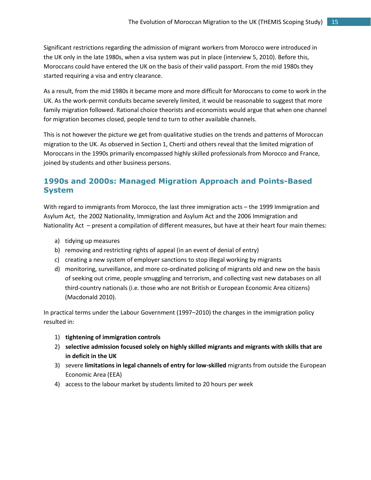Significant restrictions regarding the admission of migrant workers from Morocco were introduced in the UK only in the late 1980s, when a visa system was put in place (interview 5, 2010). Before this, Moroccans could have entered the UK on the basis of their valid passport. From the mid 1980s they started requiring a visa and entry clearance.

As a result, from the mid 1980s it became more and more difficult for Moroccans to come to work in the UK. As the work-permit conduits became severely limited, it would be reasonable to suggest that more family migration followed. Rational choice theorists and economists would argue that when one channel for migration becomes closed, people tend to turn to other available channels.

This is not however the picture we get from qualitative studies on the trends and patterns of Moroccan migration to the UK. As observed in Section 1, Cherti and others reveal that the limited migration of Moroccans in the 1990s primarily encompassed highly skilled professionals from Morocco and France, joined by students and other business persons.

### <span id="page-14-0"></span>**1990s and 2000s: Managed Migration Approach and Points-Based System**

With regard to immigrants from Morocco, the last three immigration acts – the 1999 Immigration and Asylum Act, the 2002 Nationality, Immigration and Asylum Act and the 2006 Immigration and Nationality Act – present a compilation of different measures, but have at their heart four main themes:

- a) tidying up measures
- b) removing and restricting rights of appeal (in an event of denial of entry)
- c) creating a new system of employer sanctions to stop illegal working by migrants
- d) monitoring, surveillance, and more co-ordinated policing of migrants old and new on the basis of seeking out crime, people smuggling and terrorism, and collecting vast new databases on all third-country nationals (i.e. those who are not British or European Economic Area citizens) (Macdonald 2010).

In practical terms under the Labour Government (1997–2010) the changes in the immigration policy resulted in:

- 1) **tightening of immigration controls**
- 2) **selective admission focused solely on highly skilled migrants and migrants with skills that are in deficit in the UK**
- 3) severe **limitations in legal channels of entry for low-skilled** migrants from outside the European Economic Area (EEA)
- 4) access to the labour market by students limited to 20 hours per week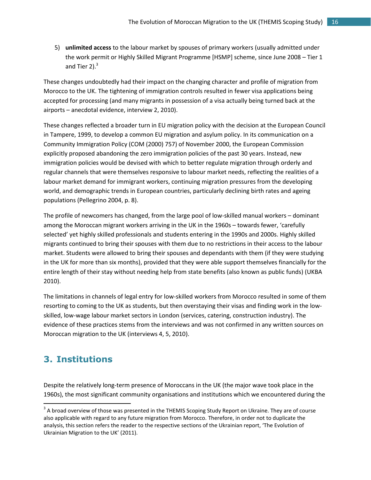5) **unlimited access** to the labour market by spouses of primary workers (usually admitted under the work permit or Highly Skilled Migrant Programme [HSMP] scheme, since June 2008 – Tier 1 and Tier 2). $3$ 

These changes undoubtedly had their impact on the changing character and profile of migration from Morocco to the UK. The tightening of immigration controls resulted in fewer visa applications being accepted for processing (and many migrants in possession of a visa actually being turned back at the airports – anecdotal evidence, interview 2, 2010).

These changes reflected a broader turn in EU migration policy with the decision at the European Council in Tampere, 1999, to develop a common EU migration and asylum policy. In its communication on a Community Immigration Policy (COM (2000) 757) of November 2000, the European Commission explicitly proposed abandoning the zero immigration policies of the past 30 years. Instead, new immigration policies would be devised with which to better regulate migration through orderly and regular channels that were themselves responsive to labour market needs, reflecting the realities of a labour market demand for immigrant workers, continuing migration pressures from the developing world, and demographic trends in European countries, particularly declining birth rates and ageing populations (Pellegrino 2004, p. 8).

The profile of newcomers has changed, from the large pool of low-skilled manual workers – dominant among the Moroccan migrant workers arriving in the UK in the 1960s – towards fewer, 'carefully selected' yet highly skilled professionals and students entering in the 1990s and 2000s. Highly skilled migrants continued to bring their spouses with them due to no restrictions in their access to the labour market. Students were allowed to bring their spouses and dependants with them (if they were studying in the UK for more than six months), provided that they were able support themselves financially for the entire length of their stay without needing help from state benefits (also known as public funds) (UKBA 2010).

The limitations in channels of legal entry for low-skilled workers from Morocco resulted in some of them resorting to coming to the UK as students, but then overstaying their visas and finding work in the lowskilled, low-wage labour market sectors in London (services, catering, construction industry). The evidence of these practices stems from the interviews and was not confirmed in any written sources on Moroccan migration to the UK (interviews 4, 5, 2010).

# <span id="page-15-0"></span>**3. Institutions**

 $\overline{a}$ 

Despite the relatively long-term presence of Moroccans in the UK (the major wave took place in the 1960s), the most significant community organisations and institutions which we encountered during the

 $3$  A broad overview of those was presented in the THEMIS Scoping Study Report on Ukraine. They are of course also applicable with regard to any future migration from Morocco. Therefore, in order not to duplicate the analysis, this section refers the reader to the respective sections of the Ukrainian report, 'The Evolution of Ukrainian Migration to the UK' (2011).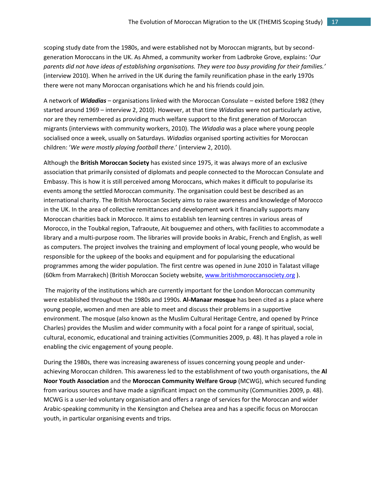scoping study date from the 1980s, and were established not by Moroccan migrants, but by secondgeneration Moroccans in the UK. As Ahmed, a community worker from Ladbroke Grove, explains: '*Our parents did not have ideas of establishing organisations. They were too busy providing for their families.'* (interview 2010). When he arrived in the UK during the family reunification phase in the early 1970s there were not many Moroccan organisations which he and his friends could join.

A network of *Widadias* – organisations linked with the Moroccan Consulate – existed before 1982 (they started around 1969 – interview 2, 2010). However, at that time *Widadias* were not particularly active, nor are they remembered as providing much welfare support to the first generation of Moroccan migrants (interviews with community workers, 2010). The *Widadia* was a place where young people socialised once a week, usually on Saturdays. *Widadias* organised sporting activities for Moroccan children: '*We were mostly playing football there.*' (interview 2, 2010).

Although the **British Moroccan Society** has existed since 1975, it was always more of an exclusive association that primarily consisted of diplomats and people connected to the Moroccan Consulate and Embassy. This is how it is still perceived among Moroccans, which makes it difficult to popularise its events among the settled Moroccan community. The organisation could best be described as an international charity. The British Moroccan Society aims to raise awareness and knowledge of Morocco in the UK. In the area of collective remittances and development work it financially supports many Moroccan charities back in Morocco. It aims to establish ten learning centres in various areas of Morocco, in the Toubkal region, Tafraoute, Ait bouguemez and others, with facilities to accommodate a library and a multi-purpose room. The libraries will provide books in Arabic, French and English, as well as computers. The project involves the training and employment of local young people, who would be responsible for the upkeep of the books and equipment and for popularising the educational programmes among the wider population. The first centre was opened in June 2010 in Talatast village (60km from Marrakech) (British Moroccan Society website[, www.britishmoroccansociety.org](http://www.britishmoroccansociety.org/) ).

The majority of the institutions which are currently important for the London Moroccan community were established throughout the 1980s and 1990s. **Al-Manaar mosque** has been cited as a place where young people, women and men are able to meet and discuss their problems in a supportive environment. The mosque (also known as the Muslim Cultural Heritage Centre, and opened by Prince Charles) provides the Muslim and wider community with a focal point for a range of spiritual, social, cultural, economic, educational and training activities (Communities 2009, p. 48). It has played a role in enabling the civic engagement of young people.

During the 1980s, there was increasing awareness of issues concerning young people and underachieving Moroccan children. This awareness led to the establishment of two youth organisations, the **Al Noor Youth Association** and the **Moroccan Community Welfare Group** (MCWG), which secured funding from various sources and have made a significant impact on the community (Communities 2009, p. 48). MCWG is a user-led voluntary organisation and offers a range of services for the Moroccan and wider Arabic-speaking community in the Kensington and Chelsea area and has a specific focus on Moroccan youth, in particular organising events and trips.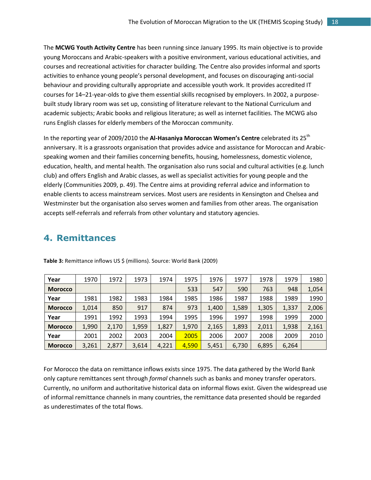The **MCWG Youth Activity Centre** has been running since January 1995. Its main objective is to provide young Moroccans and Arabic-speakers with a positive environment, various educational activities, and courses and recreational activities for character building. The Centre also provides informal and sports activities to enhance young people's personal development, and focuses on discouraging anti-social behaviour and providing culturally appropriate and accessible youth work. It provides accredited IT courses for 14–21-year-olds to give them essential skills recognised by employers. In 2002, a purposebuilt study library room was set up, consisting of literature relevant to the National Curriculum and academic subjects; Arabic books and religious literature; as well as internet facilities. The MCWG also runs English classes for elderly members of the Moroccan community.

In the reporting year of 2009/2010 the Al-Hasaniya Moroccan Women's Centre celebrated its 25<sup>th</sup> anniversary. It is a grassroots organisation that provides advice and assistance for Moroccan and Arabicspeaking women and their families concerning benefits, housing, homelessness, domestic violence, education, health, and mental health. The organisation also runs social and cultural activities (e.g. lunch club) and offers English and Arabic classes, as well as specialist activities for young people and the elderly (Communities 2009, p. 49). The Centre aims at providing referral advice and information to enable clients to access mainstream services. Most users are residents in Kensington and Chelsea and Westminster but the organisation also serves women and families from other areas. The organisation accepts self-referrals and referrals from other voluntary and statutory agencies.

### <span id="page-17-0"></span>**4. Remittances**

| Year           | 1970  | 1972  | 1973  | 1974  | 1975  | 1976  | 1977  | 1978  | 1979  | 1980  |
|----------------|-------|-------|-------|-------|-------|-------|-------|-------|-------|-------|
| <b>Morocco</b> |       |       |       |       | 533   | 547   | 590   | 763   | 948   | 1,054 |
| Year           | 1981  | 1982  | 1983  | 1984  | 1985  | 1986  | 1987  | 1988  | 1989  | 1990  |
| <b>Morocco</b> | 1,014 | 850   | 917   | 874   | 973   | 1,400 | 1,589 | 1,305 | 1,337 | 2,006 |
| Year           | 1991  | 1992  | 1993  | 1994  | 1995  | 1996  | 1997  | 1998  | 1999  | 2000  |
| <b>Morocco</b> | 1,990 | 2,170 | 1,959 | 1,827 | 1,970 | 2,165 | 1,893 | 2,011 | 1,938 | 2,161 |
| Year           | 2001  | 2002  | 2003  | 2004  | 2005  | 2006  | 2007  | 2008  | 2009  | 2010  |
| <b>Morocco</b> | 3,261 | 2,877 | 3,614 | 4,221 | 4,590 | 5,451 | 6,730 | 6,895 | 6,264 |       |

**Table 3:** Remittance inflows US \$ (millions). Source: World Bank (2009)

For Morocco the data on remittance inflows exists since 1975. The data gathered by the World Bank only capture remittances sent through *formal* channels such as banks and money transfer operators. Currently, no uniform and authoritative historical data on informal flows exist. Given the widespread use of informal remittance channels in many countries, the remittance data presented should be regarded as underestimates of the total flows.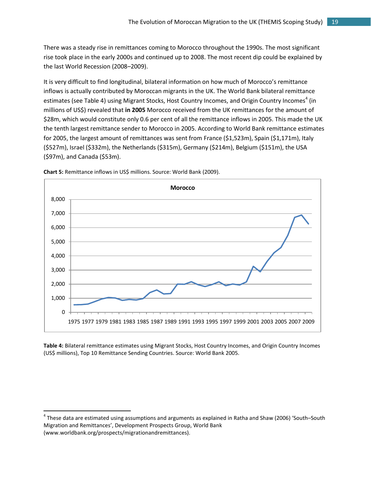There was a steady rise in remittances coming to Morocco throughout the 1990s. The most significant rise took place in the early 2000s and continued up to 2008. The most recent dip could be explained by the last World Recession (2008–2009).

It is very difficult to find longitudinal, bilateral information on how much of Morocco's remittance inflows is actually contributed by Moroccan migrants in the UK. The World Bank bilateral remittance estimates (see Table 4) using Migrant Stocks, Host Country Incomes, and Origin Country Incomes<sup>4</sup> (in millions of US\$) revealed that **in 2005** Morocco received from the UK remittances for the amount of \$28m, which would constitute only 0.6 per cent of all the remittance inflows in 2005. This made the UK the tenth largest remittance sender to Morocco in 2005. According to World Bank remittance estimates for 2005, the largest amount of remittances was sent from France (\$1,523m), Spain (\$1,171m), Italy (\$527m), Israel (\$332m), the Netherlands (\$315m), Germany (\$214m), Belgium (\$151m), the USA (\$97m), and Canada (\$53m).



**Chart 5:** Remittance inflows in US\$ millions. Source: World Bank (2009).

 $\overline{\phantom{a}}$ 

**Table 4:** Bilateral remittance estimates using Migrant Stocks, Host Country Incomes, and Origin Country Incomes (US\$ millions), Top 10 Remittance Sending Countries. Source: World Bank 2005.

<sup>&</sup>lt;sup>4</sup> These data are estimated using assumptions and arguments as explained in Ratha and Shaw (2006) 'South–South Migration and Remittances', Development Prospects Group, World Bank (www.worldbank.org/prospects/migrationandremittances).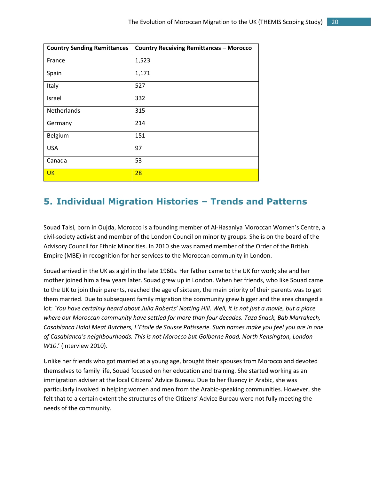| <b>Country Sending Remittances</b> | <b>Country Receiving Remittances - Morocco</b> |
|------------------------------------|------------------------------------------------|
| France                             | 1,523                                          |
| Spain                              | 1,171                                          |
| Italy                              | 527                                            |
| Israel                             | 332                                            |
| <b>Netherlands</b>                 | 315                                            |
| Germany                            | 214                                            |
| Belgium                            | 151                                            |
| <b>USA</b>                         | 97                                             |
| Canada                             | 53                                             |
| <b>UK</b>                          | 28                                             |

# <span id="page-19-0"></span>**5. Individual Migration Histories – Trends and Patterns**

Souad Talsi, born in Oujda, Morocco is a founding member of Al-Hasaniya Moroccan Women's Centre, a civil-society activist and member of the London Council on minority groups. She is on the board of the Advisory Council for Ethnic Minorities. In 2010 she was named member of the Order of the British Empire (MBE) in recognition for her services to the Moroccan community in London.

Souad arrived in the UK as a girl in the late 1960s. Her father came to the UK for work; she and her mother joined him a few years later. Souad grew up in London. When her friends, who like Souad came to the UK to join their parents, reached the age of sixteen, the main priority of their parents was to get them married. Due to subsequent family migration the community grew bigger and the area changed a lot: '*You have certainly heard about Julia Roberts' Notting Hill. Well, it is not just a movie, but a place where our Moroccan community have settled for more than four decades. Taza Snack, Bab Marrakech, Casablanca Halal Meat Butchers, L'Etoile de Sousse Patisserie. Such names make you feel you are in one of Casablanca's neighbourhoods. This is not Morocco but Golborne Road, North Kensington, London W10*.' (interview 2010).

Unlike her friends who got married at a young age, brought their spouses from Morocco and devoted themselves to family life, Souad focused on her education and training. She started working as an immigration adviser at the local Citizens' Advice Bureau. Due to her fluency in Arabic, she was particularly involved in helping women and men from the Arabic-speaking communities. However, she felt that to a certain extent the structures of the Citizens' Advice Bureau were not fully meeting the needs of the community.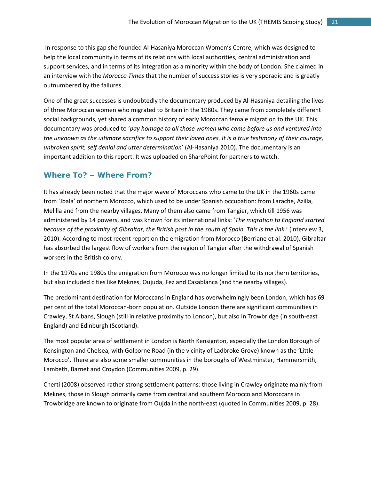In response to this gap she founded Al-Hasaniya Moroccan Women's Centre, which was designed to help the local community in terms of its relations with local authorities, central administration and support services, and in terms of its integration as a minority within the body of London. She claimed in an interview with the *Morocco Times* that the number of success stories is very sporadic and is greatly outnumbered by the failures.

One of the great successes is undoubtedly the documentary produced by Al-Hasaniya detailing the lives of three Moroccan women who migrated to Britain in the 1980s. They came from completely different social backgrounds, yet shared a common history of early Moroccan female migration to the UK. This documentary was produced to '*pay homage to all those women who came before us and ventured into the unknown as the ultimate sacrifice to support their loved ones. It is a true testimony of their courage, unbroken spirit, self denial and utter determination*' (Al-Hasaniya 2010). The documentary is an important addition to this report. It was uploaded on SharePoint for partners to watch.

#### <span id="page-20-0"></span>**Where To? – Where From?**

It has already been noted that the major wave of Moroccans who came to the UK in the 1960s came from 'Jbala' of northern Morocco, which used to be under Spanish occupation: from Larache, Azilla, Melilla and from the nearby villages. Many of them also came from Tangier, which till 1956 was administered by 14 powers, and was known for its international links: '*The migration to England started because of the proximity of Gibraltar, the British post in the south of Spain. This is the link.*' (interview 3, 2010). According to most recent report on the emigration from Morocco (Berriane et al. 2010), Gibraltar has absorbed the largest flow of workers from the region of Tangier after the withdrawal of Spanish workers in the British colony.

In the 1970s and 1980s the emigration from Morocco was no longer limited to its northern territories, but also included cities like Meknes, Oujuda, Fez and Casablanca (and the nearby villages).

The predominant destination for Moroccans in England has overwhelmingly been London, which has 69 per cent of the total Moroccan-born population. Outside London there are significant communities in Crawley, St Albans, Slough (still in relative proximity to London), but also in Trowbridge (in south-east England) and Edinburgh (Scotland).

The most popular area of settlement in London is North Kensignton, especially the London Borough of Kensington and Chelsea, with Golborne Road (in the vicinity of Ladbroke Grove) known as the 'Little Morocco'. There are also some smaller communities in the boroughs of Westminster, Hammersmith, Lambeth, Barnet and Croydon (Communities 2009, p. 29).

Cherti (2008) observed rather strong settlement patterns: those living in Crawley originate mainly from Meknes, those in Slough primarily came from central and southern Morocco and Moroccans in Trowbridge are known to originate from Oujda in the north-east (quoted in Communities 2009, p. 28).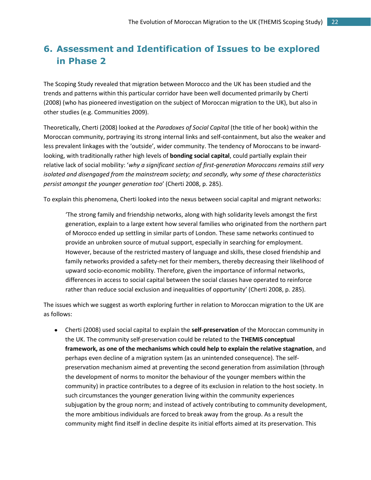# <span id="page-21-0"></span>**6. Assessment and Identification of Issues to be explored in Phase 2**

The Scoping Study revealed that migration between Morocco and the UK has been studied and the trends and patterns within this particular corridor have been well documented primarily by Cherti (2008) (who has pioneered investigation on the subject of Moroccan migration to the UK), but also in other studies (e.g. Communities 2009).

Theoretically, Cherti (2008) looked at the *Paradoxes of Social Capital* (the title of her book) within the Moroccan community, portraying its strong internal links and self-containment, but also the weaker and less prevalent linkages with the 'outside', wider community. The tendency of Moroccans to be inwardlooking, with traditionally rather high levels of **bonding social capital**, could partially explain their relative lack of social mobility: '*why a significant section of first-generation Moroccans remains still very isolated and disengaged from the mainstream society; and secondly, why some of these characteristics persist amongst the younger generation too*' (Cherti 2008, p. 285).

To explain this phenomena, Cherti looked into the nexus between social capital and migrant networks:

'The strong family and friendship networks, along with high solidarity levels amongst the first generation, explain to a large extent how several families who originated from the northern part of Morocco ended up settling in similar parts of London. These same networks continued to provide an unbroken source of mutual support, especially in searching for employment. However, because of the restricted mastery of language and skills, these closed friendship and family networks provided a safety-net for their members, thereby decreasing their likelihood of upward socio-economic mobility. Therefore, given the importance of informal networks, differences in access to social capital between the social classes have operated to reinforce rather than reduce social exclusion and inequalities of opportunity' (Cherti 2008, p. 285).

The issues which we suggest as worth exploring further in relation to Moroccan migration to the UK are as follows:

Cherti (2008) used social capital to explain the **self-preservation** of the Moroccan community in the UK. The community self-preservation could be related to the **THEMIS conceptual framework, as one of the mechanisms which could help to explain the relative stagnation**, and perhaps even decline of a migration system (as an unintended consequence). The selfpreservation mechanism aimed at preventing the second generation from assimilation (through the development of norms to monitor the behaviour of the younger members within the community) in practice contributes to a degree of its exclusion in relation to the host society. In such circumstances the younger generation living within the community experiences subjugation by the group norm; and instead of actively contributing to community development, the more ambitious individuals are forced to break away from the group. As a result the community might find itself in decline despite its initial efforts aimed at its preservation. This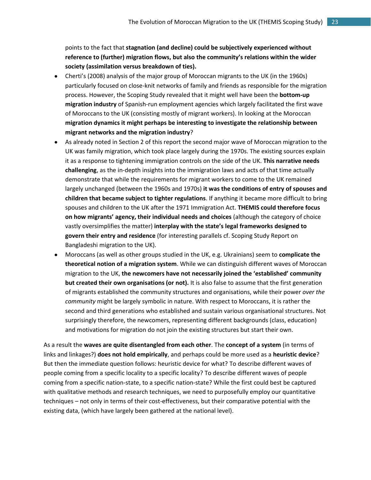points to the fact that **stagnation (and decline) could be subjectively experienced without reference to (further) migration flows, but also the community's relations within the wider society (assimilation versus breakdown of ties).**

- Cherti's (2008) analysis of the major group of Moroccan migrants to the UK (in the 1960s) particularly focused on close-knit networks of family and friends as responsible for the migration process. However, the Scoping Study revealed that it might well have been the **bottom-up migration industry** of Spanish-run employment agencies which largely facilitated the first wave of Moroccans to the UK (consisting mostly of migrant workers). In looking at the Moroccan **migration dynamics it might perhaps be interesting to investigate the relationship between migrant networks and the migration industry**?
- As already noted in Section 2 of this report the second major wave of Moroccan migration to the UK was family migration, which took place largely during the 1970s. The existing sources explain it as a response to tightening immigration controls on the side of the UK. **This narrative needs challenging**, as the in-depth insights into the immigration laws and acts of that time actually demonstrate that while the requirements for migrant workers to come to the UK remained largely unchanged (between the 1960s and 1970s) **it was the conditions of entry of spouses and children that became subject to tighter regulations**. If anything it became more difficult to bring spouses and children to the UK after the 1971 Immigration Act. **THEMIS could therefore focus on how migrants' agency, their individual needs and choices** (although the category of choice vastly oversimplifies the matter) **interplay with the state's legal frameworks designed to govern their entry and residence** (for interesting parallels cf. Scoping Study Report on Bangladeshi migration to the UK).
- Moroccans (as well as other groups studied in the UK, e.g. Ukrainians) seem to **complicate the theoretical notion of a migration system**. While we can distinguish different waves of Moroccan migration to the UK, **the newcomers have not necessarily joined the 'established' community but created their own organisations (or not).** It is also false to assume that the first generation of migrants established the community structures and organisations, while their power *over the community* might be largely symbolic in nature. With respect to Moroccans, it is rather the second and third generations who established and sustain various organisational structures. Not surprisingly therefore, the newcomers, representing different backgrounds (class, education) and motivations for migration do not join the existing structures but start their own.

As a result the **waves are quite disentangled from each other**. The **concept of a system** (in terms of links and linkages?) **does not hold empirically**, and perhaps could be more used as a **heuristic device**? But then the immediate question follows: heuristic device for what? To describe different waves of people coming from a specific locality to a specific locality? To describe different waves of people coming from a specific nation-state, to a specific nation-state? While the first could best be captured with qualitative methods and research techniques, we need to purposefully employ our quantitative techniques – not only in terms of their cost-effectiveness, but their comparative potential with the existing data, (which have largely been gathered at the national level).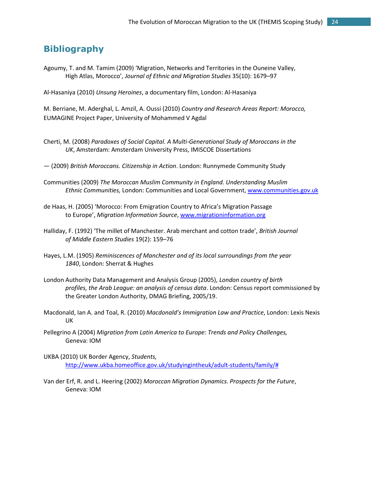## <span id="page-23-0"></span>**Bibliography**

Agoumy, T. and M. Tamim (2009) 'Migration, Networks and Territories in the Ouneine Valley, High Atlas, Morocco', *Journal of Ethnic and Migration Studies* 35(10): 1679–97

Al-Hasaniya (2010) *Unsung Heroines*, a documentary film, London: Al-Hasaniya

M. Berriane, M. Aderghal, L. Amzil, A. Oussi (2010) *Country and Research Areas Report: Morocco,*  EUMAGINE Project Paper, University of Mohammed V Agdal

- Cherti, M. (2008) *Paradoxes of Social Capital. A Multi-Generational Study of Moroccans in the UK*, Amsterdam: Amsterdam University Press, IMISCOE Dissertations
- (2009) *British Moroccans. Citizenship in Action*. London: Runnymede Community Study
- Communities (2009) *The Moroccan Muslim Community in England. Understanding Muslim Ethnic Communities,* London: Communities and Local Government, [www.communities.gov.uk](http://www.communities.gov.uk/)
- de Haas, H. (2005) 'Morocco: From Emigration Country to Africa's Migration Passage to Europe', *Migration Information Source*, [www.migrationinformation.org](http://www.migrationinformation.org/)
- Halliday, F. (1992) 'The millet of Manchester. Arab merchant and cotton trade', *British Journal of Middle Eastern Studies* 19(2): 159–76
- Hayes, L.M. (1905) *Reminiscences of Manchester and of its local surroundings from the year 1840*, London: Sherrat & Hughes
- London Authority Data Management and Analysis Group (2005), *London country of birth profiles, the Arab League: an analysis of census data*. London: Census report commissioned by the Greater London Authority, DMAG Briefing, 2005/19.
- [Macdonald,](http://www.play.com/Books/Books/6-/Search.html?searchstring=Ian+A.+Macdonald&searchtype=bookauthor&searchsource=0) Ian A. and Toal, R. (2010) *Macdonald's Immigration Law and Practice*, London: Lexis Nexis UK
- Pellegrino A (2004) *Migration from Latin America to Europe: Trends and Policy Challenges,* Geneva: IOM
- UKBA (2010) UK Border Agency, *Students,*  [http://www.ukba.homeoffice.gov.uk/studyingintheuk/adult-students/family/#](http://www.ukba.homeoffice.gov.uk/studyingintheuk/adult-students/family/)
- Van der Erf, R. and L. Heering (2002) *Moroccan Migration Dynamics. Prospects for the Future*, Geneva: IOM